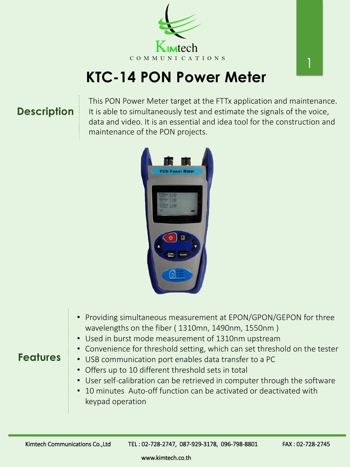## **KTC-14 PON Power Meter**



• Providing simultaneous measurement at EPON/GPON/GEPON for three wavelengths on the fiber ( 1310mn, 1490nm, 1550nm )

- Used in burst mode measurement of 1310nm upstream
- Convenience for threshold setting, which can set threshold on the tester
- USB communication port enables data transfer to a PC
- Offers up to 10 different threshold sets in total
- User self-calibration can be retrieved in computer through the software
- 10 minutes Auto-off function can be activated or deactivated with keypad operation

Kimtech Communications Co.,Ltd TEL: 02-728-2747, 087-929-3178, 096-798-8801 FAX: 02-728-2745

This PON Power Meter target at the FTTx application and maintenance. It is able to simultaneously test and estimate the signals of the voice, data and video. It is an essential and idea tool for the construction and maintenance of the PON projects.



## **Description**

## **Features**

www.kimtech.co.th

1